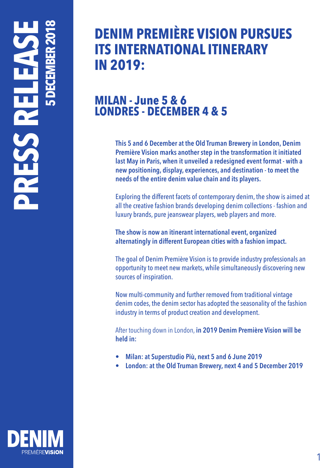# **5 DECEMBER 2018 PRESS RELEASE** H

## **DENIM PREMIÈRE VISION PURSUES ITS INTERNATIONAL ITINERARY IN 2019:**

#### **MILAN - June 5 & 6 LONDRES - DECEMBER 4 & 5**

**This 5 and 6 December at the Old Truman Brewery in London, Denim Première Vision marks another step in the transformation it initiated last May in Paris, when it unveiled a redesigned event format - with a new positioning, display, experiences, and destination - to meet the needs of the entire denim value chain and its players.**

Exploring the different facets of contemporary denim, the show is aimed at all the creative fashion brands developing denim collections - fashion and luxury brands, pure jeanswear players, web players and more.

**The show is now an itinerant international event, organized alternatingly in different European cities with a fashion impact.**

The goal of Denim Première Vision is to provide industry professionals an opportunity to meet new markets, while simultaneously discovering new sources of inspiration.

Now multi-community and further removed from traditional vintage denim codes, the denim sector has adopted the seasonality of the fashion industry in terms of product creation and development.

After touching down in London, **in 2019 Denim Première Vision will be held in:**

- **• Milan: at Superstudio Più, next 5 and 6 June 2019**
- **• London: at the Old Truman Brewery, next 4 and 5 December 2019**

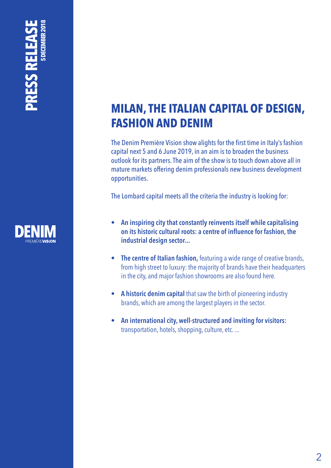# **5 DECEMBER 2018 PRESS RELEASE** PRESS RELEA



### **MILAN, THE ITALIAN CAPITAL OF DESIGN, FASHION AND DENIM**

The Denim Première Vision show alights for the first time in Italy's fashion capital next 5 and 6 June 2019, in an aim is to broaden the business outlook for its partners. The aim of the show is to touch down above all in mature markets offering denim professionals new business development opportunities.

The Lombard capital meets all the criteria the industry is looking for:

- **• An inspiring city that constantly reinvents itself while capitalising on its historic cultural roots: a centre of influence for fashion, the industrial design sector...**
- **• The centre of Italian fashion,** featuring a wide range of creative brands, from high street to luxury: the majority of brands have their headquarters in the city, and major fashion showrooms are also found here.
- **• A historic denim capital** that saw the birth of pioneering industry brands, which are among the largest players in the sector.
- **• An international city, well-structured and inviting for visitors:**  transportation, hotels, shopping, culture, etc. ...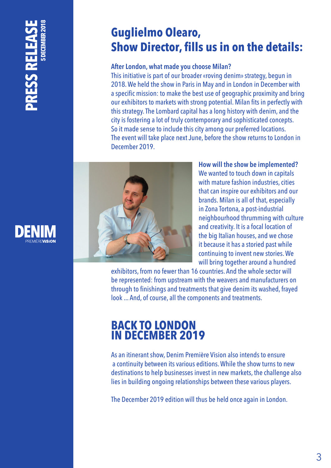## **5 DECEMBER 2018PRESS RELEASE VELEN SSENG**



#### **Guglielmo Olearo, Show Director, fills us in on the details:**

#### **After London, what made you choose Milan?**

This initiative is part of our broader «roving denim» strategy, begun in 2018. We held the show in Paris in May and in London in December with a specific mission: to make the best use of geographic proximity and bring our exhibitors to markets with strong potential. Milan fits in perfectly with this strategy. The Lombard capital has a long history with denim, and the city is fostering a lot of truly contemporary and sophisticated concepts. So it made sense to include this city among our preferred locations. The event will take place next June, before the show returns to London in December 2019.



**How will the show be implemented?**  We wanted to touch down in capitals with mature fashion industries, cities that can inspire our exhibitors and our brands. Milan is all of that, especially in Zona Tortona, a post-industrial neighbourhood thrumming with culture and creativity. It is a focal location of the big Italian houses, and we chose it because it has a storied past while continuing to invent new stories. We will bring together around a hundred

exhibitors, from no fewer than 16 countries. And the whole sector will be represented: from upstream with the weavers and manufacturers on through to finishings and treatments that give denim its washed, frayed look ... And, of course, all the components and treatments.

#### **BACK TO LONDON IN DECEMBER 2019**

As an itinerant show, Denim Première Vision also intends to ensure a continuity between its various editions. While the show turns to new destinations to help businesses invest in new markets, the challenge also lies in building ongoing relationships between these various players.

The December 2019 edition will thus be held once again in London.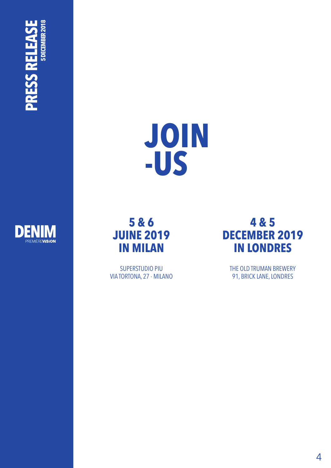







SUPERSTUDIO PIU VIA TORTONA, 27 - MILANO



THE OLD TRUMAN BREWERY 91, BRICK LANE, LONDRES